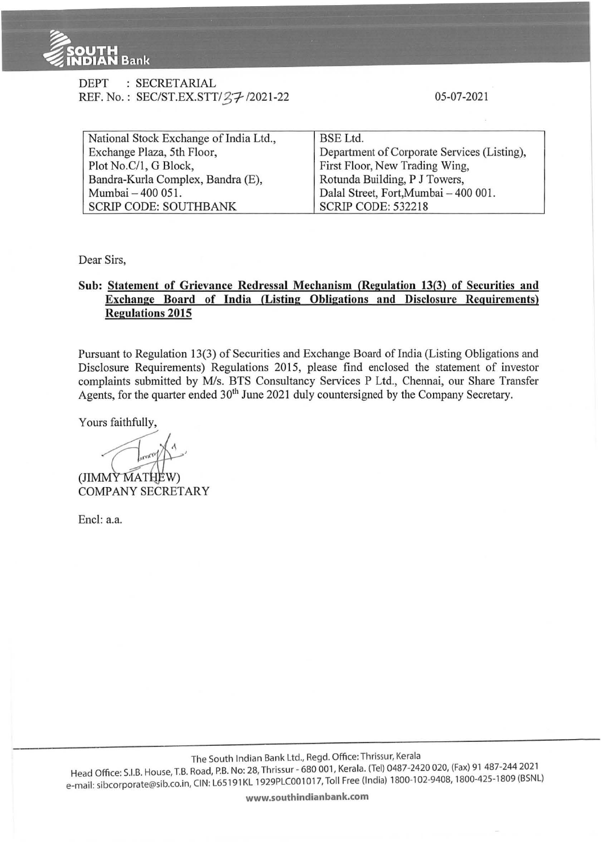

| DEPT | : SECRETARIAL                       |
|------|-------------------------------------|
|      | REF. No.: SEC/ST.EX.STT/27-/2021-22 |

05-07-2021

| National Stock Exchange of India Ltd., | BSE Ltd.                                    |  |  |  |
|----------------------------------------|---------------------------------------------|--|--|--|
| Exchange Plaza, 5th Floor,             | Department of Corporate Services (Listing), |  |  |  |
| Plot No.C/1, G Block,                  | First Floor, New Trading Wing,              |  |  |  |
| Bandra-Kurla Complex, Bandra (E),      | Rotunda Building, P J Towers,               |  |  |  |
| Mumbai - 400 051.                      | Dalal Street, Fort, Mumbai - 400 001.       |  |  |  |
| <b>SCRIP CODE: SOUTHBANK</b>           | <b>SCRIP CODE: 532218</b>                   |  |  |  |

Dear Sirs,

## **Sub: Statement of Grievance Redressal Mechanism (Regulation 13(3) of Securities and Exchange Board of India (Listing Obligations and Disclosure Requirements) Regulations 2015**

Pursuant to Regulation 13(3) of Securities and Exchange Board of India (Listing Obligations and Disclosure Requirements) Regulations 2015, please find enclosed the statement of investor complaints submitted by M/s. BTS Consultancy Services P Ltd., Chennai, our Share Transfer Agents, for the quarter ended  $30<sup>th</sup>$  June 2021 duly countersigned by the Company Secretary.

Yours faithfully,

 $(JIMM\tilde{Y}$  $MATH\tilde{E}W)$ COMPANY SECRETARY

Encl: a.a.

The South Indian Bank Ltd., Regd. Office:Thrissur, Kerala